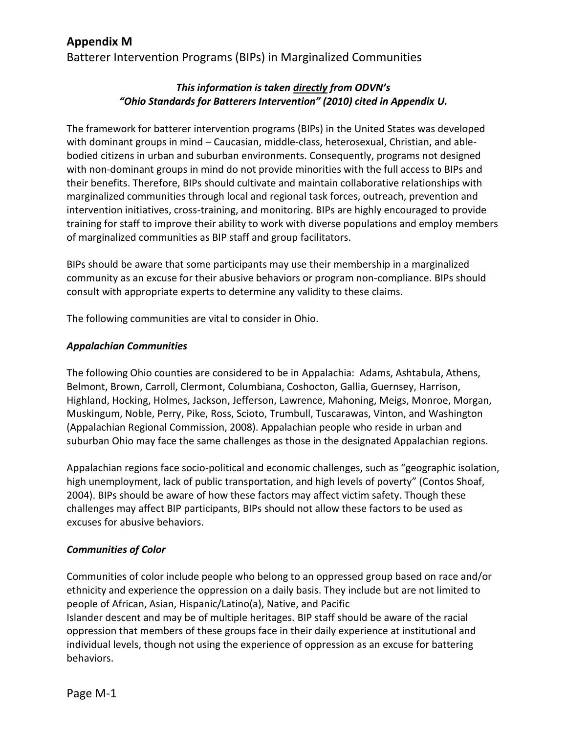# **Appendix M**

Batterer Intervention Programs (BIPs) in Marginalized Communities

## *This information is taken directly from ODVN's "Ohio Standards for Batterers Intervention" (2010) cited in Appendix U.*

The framework for batterer intervention programs (BIPs) in the United States was developed with dominant groups in mind – Caucasian, middle-class, heterosexual, Christian, and ablebodied citizens in urban and suburban environments. Consequently, programs not designed with non-dominant groups in mind do not provide minorities with the full access to BIPs and their benefits. Therefore, BIPs should cultivate and maintain collaborative relationships with marginalized communities through local and regional task forces, outreach, prevention and intervention initiatives, cross-training, and monitoring. BIPs are highly encouraged to provide training for staff to improve their ability to work with diverse populations and employ members of marginalized communities as BIP staff and group facilitators.

BIPs should be aware that some participants may use their membership in a marginalized community as an excuse for their abusive behaviors or program non-compliance. BIPs should consult with appropriate experts to determine any validity to these claims.

The following communities are vital to consider in Ohio.

### *Appalachian Communities*

The following Ohio counties are considered to be in Appalachia: Adams, Ashtabula, Athens, Belmont, Brown, Carroll, Clermont, Columbiana, Coshocton, Gallia, Guernsey, Harrison, Highland, Hocking, Holmes, Jackson, Jefferson, Lawrence, Mahoning, Meigs, Monroe, Morgan, Muskingum, Noble, Perry, Pike, Ross, Scioto, Trumbull, Tuscarawas, Vinton, and Washington (Appalachian Regional Commission, 2008). Appalachian people who reside in urban and suburban Ohio may face the same challenges as those in the designated Appalachian regions.

Appalachian regions face socio-political and economic challenges, such as "geographic isolation, high unemployment, lack of public transportation, and high levels of poverty" (Contos Shoaf, 2004). BIPs should be aware of how these factors may affect victim safety. Though these challenges may affect BIP participants, BIPs should not allow these factors to be used as excuses for abusive behaviors.

## *Communities of Color*

Communities of color include people who belong to an oppressed group based on race and/or ethnicity and experience the oppression on a daily basis. They include but are not limited to people of African, Asian, Hispanic/Latino(a), Native, and Pacific Islander descent and may be of multiple heritages. BIP staff should be aware of the racial oppression that members of these groups face in their daily experience at institutional and individual levels, though not using the experience of oppression as an excuse for battering behaviors.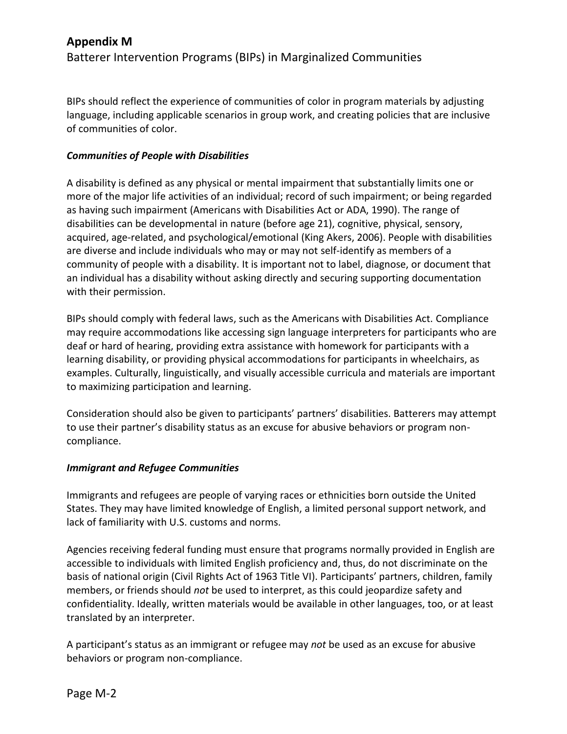BIPs should reflect the experience of communities of color in program materials by adjusting language, including applicable scenarios in group work, and creating policies that are inclusive of communities of color.

## *Communities of People with Disabilities*

A disability is defined as any physical or mental impairment that substantially limits one or more of the major life activities of an individual; record of such impairment; or being regarded as having such impairment (Americans with Disabilities Act or ADA, 1990). The range of disabilities can be developmental in nature (before age 21), cognitive, physical, sensory, acquired, age-related, and psychological/emotional (King Akers, 2006). People with disabilities are diverse and include individuals who may or may not self-identify as members of a community of people with a disability. It is important not to label, diagnose, or document that an individual has a disability without asking directly and securing supporting documentation with their permission.

BIPs should comply with federal laws, such as the Americans with Disabilities Act. Compliance may require accommodations like accessing sign language interpreters for participants who are deaf or hard of hearing, providing extra assistance with homework for participants with a learning disability, or providing physical accommodations for participants in wheelchairs, as examples. Culturally, linguistically, and visually accessible curricula and materials are important to maximizing participation and learning.

Consideration should also be given to participants' partners' disabilities. Batterers may attempt to use their partner's disability status as an excuse for abusive behaviors or program noncompliance.

## *Immigrant and Refugee Communities*

Immigrants and refugees are people of varying races or ethnicities born outside the United States. They may have limited knowledge of English, a limited personal support network, and lack of familiarity with U.S. customs and norms.

Agencies receiving federal funding must ensure that programs normally provided in English are accessible to individuals with limited English proficiency and, thus, do not discriminate on the basis of national origin (Civil Rights Act of 1963 Title VI). Participants' partners, children, family members, or friends should *not* be used to interpret, as this could jeopardize safety and confidentiality. Ideally, written materials would be available in other languages, too, or at least translated by an interpreter.

A participant's status as an immigrant or refugee may *not* be used as an excuse for abusive behaviors or program non-compliance.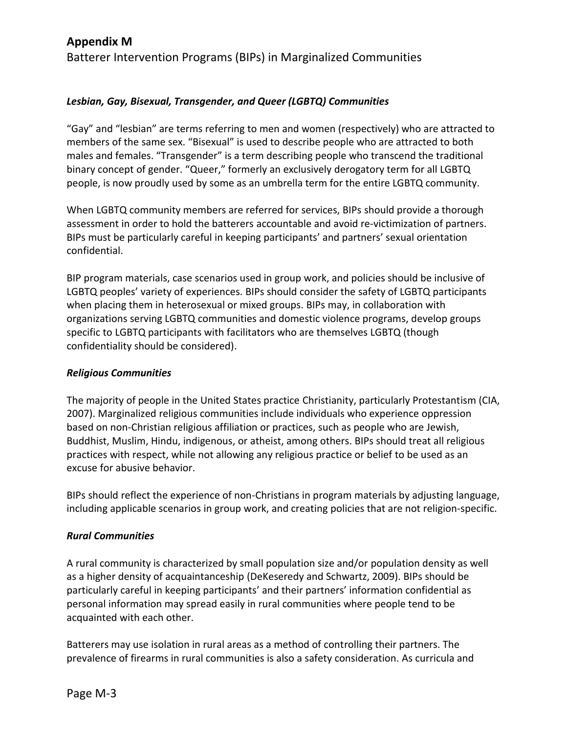## **Appendix M**

Batterer Intervention Programs (BIPs) in Marginalized Communities

## *Lesbian, Gay, Bisexual, Transgender, and Queer (LGBTQ) Communities*

"Gay" and "lesbian" are terms referring to men and women (respectively) who are attracted to members of the same sex. "Bisexual" is used to describe people who are attracted to both males and females. "Transgender" is a term describing people who transcend the traditional binary concept of gender. "Queer," formerly an exclusively derogatory term for all LGBTQ people, is now proudly used by some as an umbrella term for the entire LGBTQ community.

When LGBTQ community members are referred for services, BIPs should provide a thorough assessment in order to hold the batterers accountable and avoid re-victimization of partners. BIPs must be particularly careful in keeping participants' and partners' sexual orientation confidential.

BIP program materials, case scenarios used in group work, and policies should be inclusive of LGBTQ peoples' variety of experiences. BIPs should consider the safety of LGBTQ participants when placing them in heterosexual or mixed groups. BIPs may, in collaboration with organizations serving LGBTQ communities and domestic violence programs, develop groups specific to LGBTQ participants with facilitators who are themselves LGBTQ (though confidentiality should be considered).

### *Religious Communities*

The majority of people in the United States practice Christianity, particularly Protestantism (CIA, 2007). Marginalized religious communities include individuals who experience oppression based on non-Christian religious affiliation or practices, such as people who are Jewish, Buddhist, Muslim, Hindu, indigenous, or atheist, among others. BIPs should treat all religious practices with respect, while not allowing any religious practice or belief to be used as an excuse for abusive behavior.

BIPs should reflect the experience of non-Christians in program materials by adjusting language, including applicable scenarios in group work, and creating policies that are not religion-specific.

### *Rural Communities*

A rural community is characterized by small population size and/or population density as well as a higher density of acquaintanceship (DeKeseredy and Schwartz, 2009). BIPs should be particularly careful in keeping participants' and their partners' information confidential as personal information may spread easily in rural communities where people tend to be acquainted with each other.

Batterers may use isolation in rural areas as a method of controlling their partners. The prevalence of firearms in rural communities is also a safety consideration. As curricula and